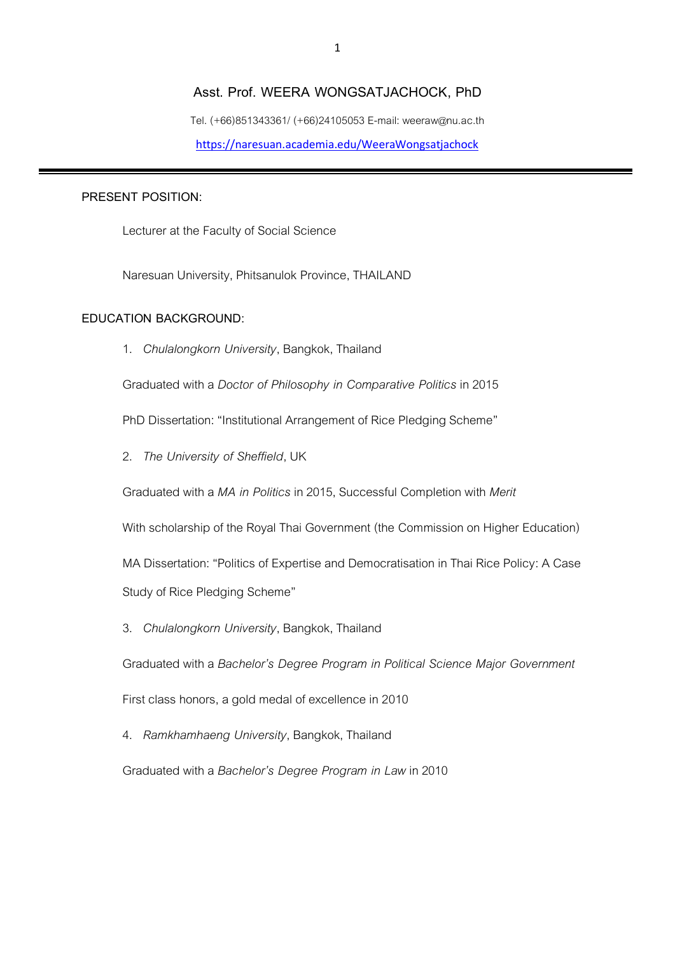#### **Asst. Prof. WEERA WONGSATJACHOCK, PhD**

Tel. (+66)851343361/ (+66)24105053 E-mail: weeraw@nu.ac.th <https://naresuan.academia.edu/WeeraWongsatjachock>

#### **PRESENT POSITION:**

Lecturer at the Faculty of Social Science

Naresuan University, Phitsanulok Province, THAILAND

## **EDUCATION BACKGROUND:**

1. *Chulalongkorn University*, Bangkok, Thailand

Graduated with a *Doctor of Philosophy in Comparative Politics* in 2015

PhD Dissertation: "Institutional Arrangement of Rice Pledging Scheme"

2. *The University of Sheffield*, UK

Graduated with a *MA in Politics* in 2015, Successful Completion with *Merit*

With scholarship of the Royal Thai Government (the Commission on Higher Education)

MA Dissertation: "Politics of Expertise and Democratisation in Thai Rice Policy: A Case Study of Rice Pledging Scheme"

3. *Chulalongkorn University*, Bangkok, Thailand

Graduated with a *Bachelor's Degree Program in Political Science Major Government*

First class honors, a gold medal of excellence in 2010

4. *Ramkhamhaeng University*, Bangkok, Thailand

Graduated with a *Bachelor's Degree Program in Law* in 2010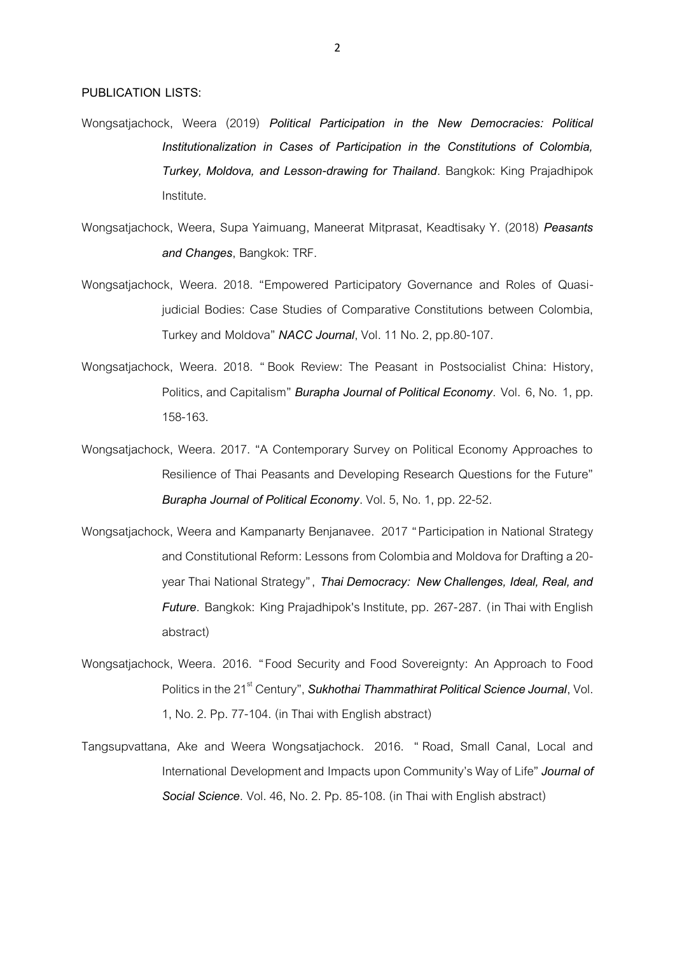- Wongsatjachock, Weera (2019) *Political Participation in the New Democracies: Political Institutionalization in Cases of Participation in the Constitutions of Colombia, Turkey, Moldova, and Lesson-drawing for Thailand*. Bangkok: King Prajadhipok Institute.
- Wongsatjachock, Weera, Supa Yaimuang, Maneerat Mitprasat, Keadtisaky Y. (2018) *Peasants and Changes*, Bangkok: TRF.
- Wongsatjachock, Weera. 2018. "Empowered Participatory Governance and Roles of Quasijudicial Bodies: Case Studies of Comparative Constitutions between Colombia, Turkey and Moldova" *NACC Journal*, Vol. 11 No.2, pp.80-107.
- Wongsatjachock, Weera. 2018. " Book Review: The Peasant in Postsocialist China: History, Politics, and Capitalism" *Burapha Journal of Political Economy*. Vol. 6, No. 1, pp. 158-163.
- Wongsatjachock, Weera. 2017. "A Contemporary Survey on Political Economy Approaches to Resilience of Thai Peasants and Developing Research Questions for the Future" *Burapha Journal of Political Economy*. Vol. 5, No.1, pp. 22-52.
- Wongsatjachock, Weera and Kampanarty Benjanavee. 2017 "Participation in National Strategy and Constitutional Reform: Lessons from Colombia and Moldova for Drafting a 20 year Thai National Strategy", *Thai Democracy: New Challenges, Ideal, Real, and Future.* Bangkok: King Prajadhipok's Institute, pp. 267-287. (in Thai with English abstract)
- Wongsatjachock, Weera. 2016. "Food Security and Food Sovereignty: An Approach to Food Politics in the 21<sup>st</sup> Century", *Sukhothai Thammathirat Political Science Journal*, Vol. 1, No. 2. Pp. 77-104. (in Thai with English abstract)
- Tangsupvattana, Ake and Weera Wongsatjachock. 2016. " Road, Small Canal, Local and International Development and Impacts upon Community's Way of Life" *Journal of Social Science*. Vol. 46, No.2. Pp. 85-108. (in Thai with English abstract)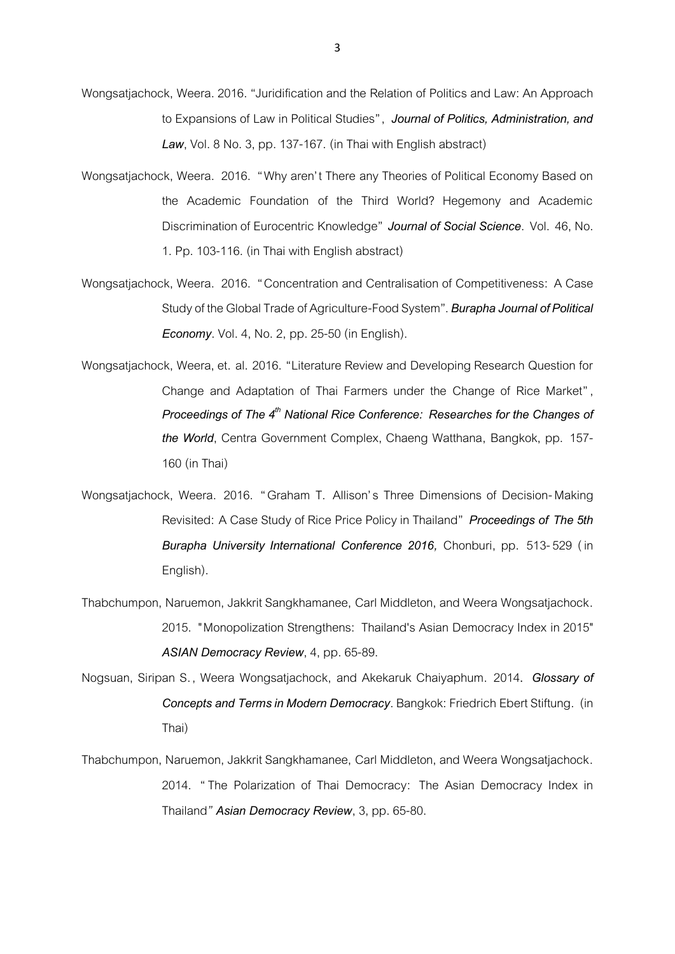- Wongsatiachock, Weera. 2016. "Juridification and the Relation of Politics and Law: An Approach to Expansions of Law in Political Studies", *Journal of Politics, Administration, and Law*, Vol. 8 No. 3, pp. 137-167. (in Thai with English abstract)
- Wongsatjachock, Weera. 2016. "Why aren' t There any Theories of Political Economy Based on the Academic Foundation of the Third World? Hegemony and Academic Discrimination of Eurocentric Knowledge" *Journal of Social Science*. Vol. 46, No. 1. Pp. 103-116. (in Thai with English abstract)
- Wongsatjachock, Weera. 2016. "Concentration and Centralisation of Competitiveness: A Case Study of the Global Trade of Agriculture-Food System". *Burapha Journal of Political Economy*. Vol. 4, No.2, pp. 25-50(in English).
- Wongsatjachock, Weera, et. al. 2016. "Literature Review and Developing Research Question for Change and Adaptation of Thai Farmers under the Change of Rice Market" , *Proceedings of The 4th National Rice Conference: Researches for the Changes of the World*, Centra Government Complex, Chaeng Watthana, Bangkok, pp. 157- 160 (in Thai)
- Wongsatjachock, Weera. 2016. "Graham T. Allison's Three Dimensions of Decision-Making Revisited: A Case Study of Rice Price Policy in Thailand" *Proceedings of The 5th Burapha University International Conference 2016,* Chonburi, pp. 513-529 ( in English).
- Thabchumpon, Naruemon, Jakkrit Sangkhamanee, Carl Middleton, and Weera Wongsatjachock. 2015. "Monopolization Strengthens: Thailand's Asian Democracy Index in 2015" *ASIAN Democracy Review*, 4, pp. 65-89.
- Nogsuan, Siripan S., Weera Wongsatjachock, and Akekaruk Chaiyaphum. 2014**.** *Glossary of Concepts and Terms in Modern Democracy*. Bangkok: Friedrich Ebert Stiftung. (in Thai)
- Thabchumpon, Naruemon, Jakkrit Sangkhamanee, Carl Middleton, and Weera Wongsatjachock. 2014. "The Polarization of Thai Democracy: The Asian Democracy Index in Thailand*" Asian Democracy Review*, 3, pp. 65-80.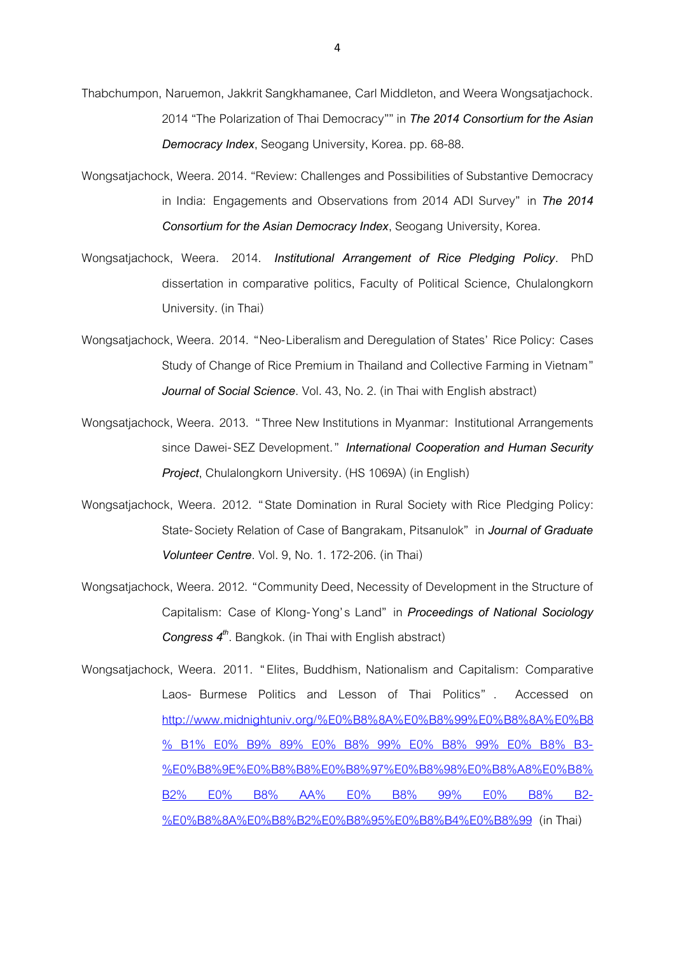- Thabchumpon, Naruemon, Jakkrit Sangkhamanee, Carl Middleton, and Weera Wongsatjachock. 2014 "The Polarization of Thai Democracy"" in *The 2014 Consortium for the Asian Democracy Index*, Seogang University, Korea. pp. 68-88.
- Wongsatjachock, Weera. 2014. "Review: Challenges and Possibilities of Substantive Democracy in India: Engagements and Observations from 2014 ADI Survey" in *The 2014 Consortium for the Asian Democracy Index*, Seogang University, Korea.
- Wongsatjachock, Weera. 2014. *Institutional Arrangement of Rice Pledging Policy*. PhD dissertation in comparative politics, Faculty of Political Science, Chulalongkorn University. (in Thai)
- Wongsatjachock, Weera. 2014. "Neo-Liberalism and Deregulation of States' Rice Policy: Cases Study of Change of Rice Premium in Thailand and Collective Farming in Vietnam" *Journal of Social Science*. Vol. 43, No.2. (in Thai with English abstract)
- Wongsatjachock, Weera. 2013. "Three New Institutions in Myanmar: Institutional Arrangements since Dawei-SEZ Development." *International Cooperation and Human Security Project*, Chulalongkorn University. (HS 1069A) (in English)
- Wongsatjachock, Weera. 2012. "State Domination in Rural Society with Rice Pledging Policy: State-Society Relation of Case of Bangrakam, Pitsanulok" in *Journal of Graduate Volunteer Centre*. Vol. 9, No. 1. 172-206. (in Thai)
- Wongsatjachock, Weera. 2012. "Community Deed, Necessity of Development in the Structure of Capitalism: Case of Klong-Yong's Land" in *Proceedings of National Sociology Congress 4th* . Bangkok. (in Thai with English abstract)
- Wongsatjachock, Weera. 2011. " Elites, Buddhism, Nationalism and Capitalism: Comparative Laos- Burmese Politics and Lesson of Thai Politics" . Accessed on http://www.[midnightuniv](http://www.midnightuniv.org/%E0%B8%8A%E0%B8%99%E0%B8%8A%E0%B8%B1%E0%B9%89%E0%B8%99%E0%B8%99%E0%B8%B3-%E0%B8%9E%E0%B8%B8%E0%B8%97%E0%B8%98%E0%B8%A8%E0%B8%B2%E0%B8%AA%E0%B8%99%E0%B8%B2-%E0%B8%8A%E0%B8%B2%E0%B8%95%E0%B8%B4%E0%B8%99).org/%E0%B8%8A%E0%B8%99%E0%B8%8A%E0%B8 % B1% E0% B9% 89% E0% B8% 99% E0% B8% 99% E0% B8% [B3](http://www.midnightuniv.org/%E0%B8%8A%E0%B8%99%E0%B8%8A%E0%B8%B1%E0%B9%89%E0%B8%99%E0%B8%99%E0%B8%B3-%E0%B8%9E%E0%B8%B8%E0%B8%97%E0%B8%98%E0%B8%A8%E0%B8%B2%E0%B8%AA%E0%B8%99%E0%B8%B2-%E0%B8%8A%E0%B8%B2%E0%B8%95%E0%B8%B4%E0%B8%99)- %E0%B8%9E%E0%B8%B8%E0%B8%97%E0%B8%98%E0%B8%[A8](http://www.midnightuniv.org/%E0%B8%8A%E0%B8%99%E0%B8%8A%E0%B8%B1%E0%B9%89%E0%B8%99%E0%B8%99%E0%B8%B3-%E0%B8%9E%E0%B8%B8%E0%B8%97%E0%B8%98%E0%B8%A8%E0%B8%B2%E0%B8%AA%E0%B8%99%E0%B8%B2-%E0%B8%8A%E0%B8%B2%E0%B8%95%E0%B8%B4%E0%B8%99)%E0%B8% B2% E0% B8% [AA](http://www.midnightuniv.org/%E0%B8%8A%E0%B8%99%E0%B8%8A%E0%B8%B1%E0%B9%89%E0%B8%99%E0%B8%99%E0%B8%B3-%E0%B8%9E%E0%B8%B8%E0%B8%97%E0%B8%98%E0%B8%A8%E0%B8%B2%E0%B8%AA%E0%B8%99%E0%B8%B2-%E0%B8%8A%E0%B8%B2%E0%B8%95%E0%B8%B4%E0%B8%99)% E0% B8% 99% E0% B8% B2- %E0%[B8](http://www.midnightuniv.org/%E0%B8%8A%E0%B8%99%E0%B8%8A%E0%B8%B1%E0%B9%89%E0%B8%99%E0%B8%99%E0%B8%B3-%E0%B8%9E%E0%B8%B8%E0%B8%97%E0%B8%98%E0%B8%A8%E0%B8%B2%E0%B8%AA%E0%B8%99%E0%B8%B2-%E0%B8%8A%E0%B8%B2%E0%B8%95%E0%B8%B4%E0%B8%99)%8A%E0%B8%B2%E0%B8%95%E0%B8%B4%E0%B8%99 (in Thai)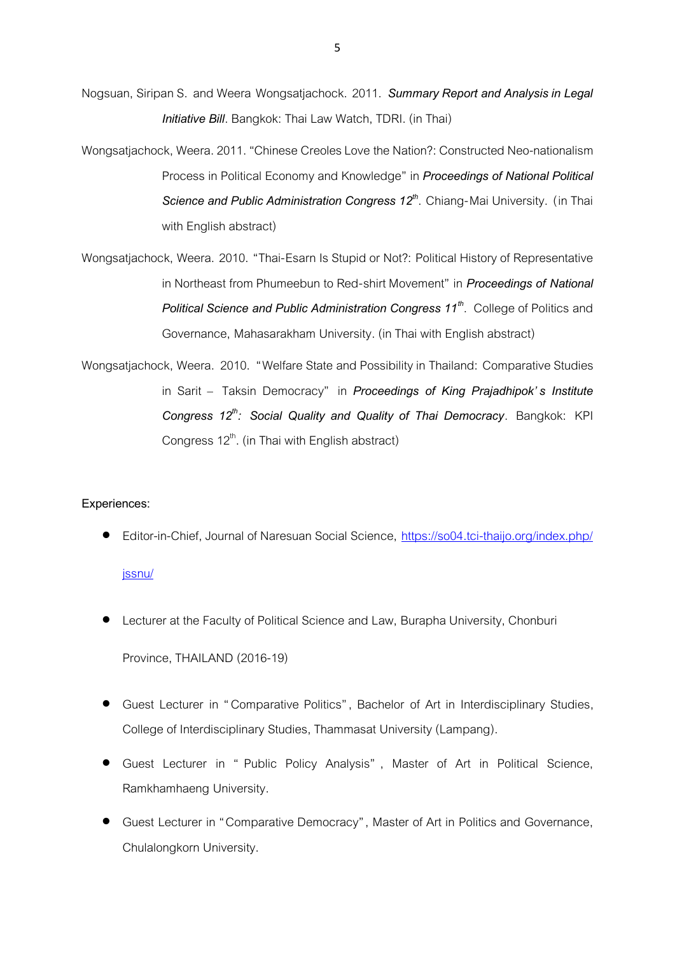- Nogsuan, Siripan S. and Weera Wongsatjachock. 2011. *Summary Report and Analysis in Legal Initiative Bill*. Bangkok: Thai Law Watch, TDRI. (in Thai)
- Wongsatjachock, Weera.2011. "Chinese Creoles Love the Nation?: Constructed Neo-nationalism Process in Political Economy and Knowledge" in *Proceedings of National Political*  Science and Public Administration Congress 12<sup>th</sup>. Chiang-Mai University. (in Thai with English abstract)
- Wongsatjachock, Weera. 2010. "Thai-Esarn Is Stupid or Not?: Political History of Representative in Northeast from Phumeebun to Red-shirt Movement" in *Proceedings of National Political Science and Public Administration Congress 11th* . College of Politics and Governance, Mahasarakham University. (in Thai with English abstract)
- Wongsatjachock, Weera. 2010. "Welfare State and Possibility in Thailand: Comparative Studies in Sarit – Taksin Democracy" in *Proceedings of King Prajadhipok's Institute Congress 12th: Social Quality and Quality of Thai Democracy*. Bangkok: KPI Congress 12<sup>th</sup>. (in Thai with English abstract)

## **Experiences:**

• Editor-in-Chief, Journal of Naresuan Social Science, https://so04.tci-thaijo.org/index.php/

# [jssnu/](https://so04.tci-thaijo.org/index.php/%20jssnu/)

• Lecturer at the Faculty of Political Science and Law, Burapha University, Chonburi

Province, THAILAND (2016-19)

- Guest Lecturer in " Comparative Politics", Bachelor of Art in Interdisciplinary Studies, College of Interdisciplinary Studies, Thammasat University (Lampang).
- Guest Lecturer in " Public Policy Analysis" , Master of Art in Political Science, Ramkhamhaeng University.
- Guest Lecturer in "Comparative Democracy", Master of Art in Politics and Governance, Chulalongkorn University.